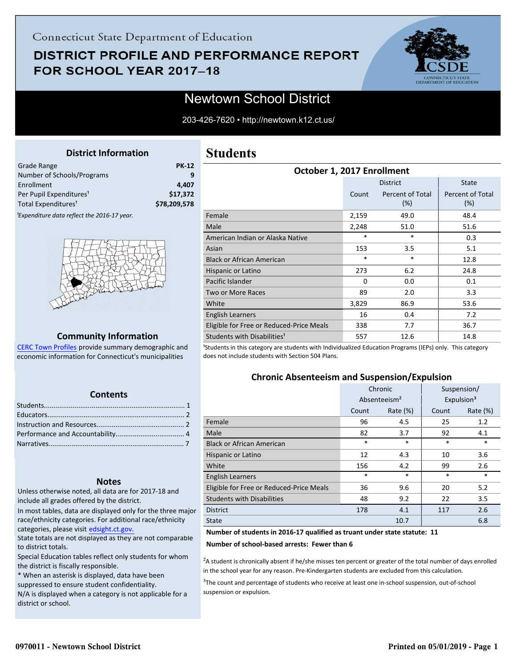## **DISTRICT PROFILE AND PERFORMANCE REPORT** FOR SCHOOL YEAR 2017-18



## Newtown School District

203-426-7620 • http://newtown.k12.ct.us/

#### **District Information**

<span id="page-0-0"></span>

| <b>Grade Range</b>                                      | <b>PK-12</b> |
|---------------------------------------------------------|--------------|
| Number of Schools/Programs                              | q            |
| Enrollment                                              | 4.407        |
| Per Pupil Expenditures <sup>1</sup>                     | \$17,372     |
| Total Expenditures <sup>1</sup>                         | \$78,209,578 |
| <sup>1</sup> Expenditure data reflect the 2016-17 year. |              |



#### **Community Information**

[CERC Town Profiles provide summary demographic and](http://www.cerc.com/townprofiles/) economic information for Connecticut's municipalities

#### **Contents**

#### **Notes**

Unless otherwise noted, all data are for 2017-18 and include all grades offered by the district.

[In most tables, data are displayed only for the three major](http://edsight.ct.gov/) race/ethnicity categories. For additional race/ethnicity categories, please visit edsight.ct.gov.

State totals are not displayed as they are not comparable to district totals.

Special Education tables reflect only students for whom the district is fiscally responsible.

\* When an asterisk is displayed, data have been suppressed to ensure student confidentiality.

N/A is displayed when a category is not applicable for a district or school.

### **Students**

| October 1, 2017 Enrollment               |          |                            |                         |  |  |  |
|------------------------------------------|----------|----------------------------|-------------------------|--|--|--|
|                                          |          | <b>District</b>            | State                   |  |  |  |
|                                          | Count    | Percent of Total<br>$(\%)$ | Percent of Total<br>(%) |  |  |  |
| Female                                   | 2,159    | 49.0                       | 48.4                    |  |  |  |
| Male                                     | 2,248    | 51.0                       | 51.6                    |  |  |  |
| American Indian or Alaska Native         | *        | $\ast$                     | 0.3                     |  |  |  |
| Asian                                    | 153      | 3.5                        | 5.1                     |  |  |  |
| <b>Black or African American</b>         | *        | $\ast$                     | 12.8                    |  |  |  |
| Hispanic or Latino                       | 273      | 6.2                        | 24.8                    |  |  |  |
| Pacific Islander                         | $\Omega$ | 0.0                        | 0.1                     |  |  |  |
| <b>Two or More Races</b>                 | 89       | 2.0                        | 3.3                     |  |  |  |
| White                                    | 3,829    | 86.9                       | 53.6                    |  |  |  |
| English Learners                         | 16       | 0.4                        | 7.2                     |  |  |  |
| Eligible for Free or Reduced-Price Meals | 338      | 7.7                        | 36.7                    |  |  |  |
| Students with Disabilities <sup>1</sup>  | 557      | 12.6                       | 14.8                    |  |  |  |

<sup>1</sup>Students in this category are students with Individualized Education Programs (IEPs) only. This category does not include students with Section 504 Plans.

#### **Chronic Absenteeism and Suspension/Expulsion**

|                                          | Chronic                  |          |        | Suspension/            |
|------------------------------------------|--------------------------|----------|--------|------------------------|
|                                          | Absenteeism <sup>2</sup> |          |        | Expulsion <sup>3</sup> |
|                                          | Count                    | Rate (%) | Count  | Rate $(\%)$            |
| Female                                   | 96                       | 4.5      | 25     | 1.2                    |
| Male                                     | 82                       | 3.7      | 92     | 4.1                    |
| <b>Black or African American</b>         | *                        | $\ast$   | $\ast$ | *                      |
| Hispanic or Latino                       | 12<br>4.3                |          | 10     | 3.6                    |
| White                                    | 4.2<br>156               |          | 99     | 2.6                    |
| <b>English Learners</b>                  | *                        | $\ast$   | $\ast$ | $\ast$                 |
| Eligible for Free or Reduced-Price Meals | 36                       | 9.6      | 20     | 5.2                    |
| <b>Students with Disabilities</b>        | 48<br>9.2                |          | 22     | 3.5                    |
| <b>District</b>                          | 178                      | 4.1      | 117    | 2.6                    |
| <b>State</b>                             | 10.7                     |          |        | 6.8                    |

#### **Number of students in 2016-17 qualified as truant under state statute: 11**

**Number of school-based arrests: Fewer than 6**

 ${}^{2}$ A student is chronically absent if he/she misses ten percent or greater of the total number of days enrolled in the school year for any reason. Pre-Kindergarten students are excluded from this calculation.

 $3$ The count and percentage of students who receive at least one in-school suspension, out-of-school suspension or expulsion.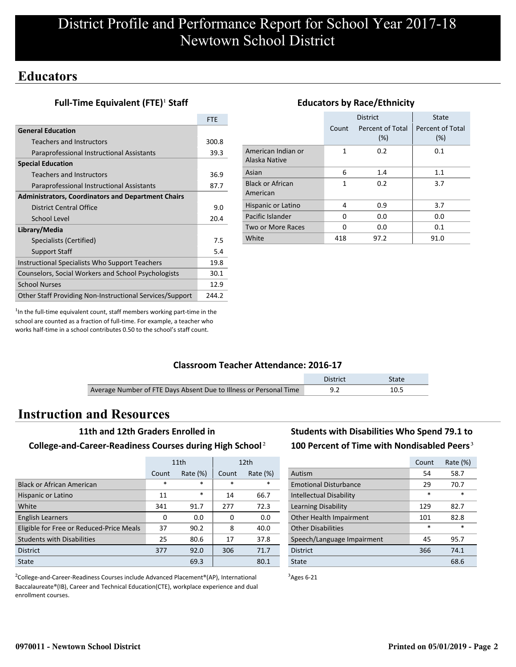## **Educators**

#### **Full-Time Equivalent (FTE)<sup>1</sup> Staff**

|                                                           | <b>FTE</b> |
|-----------------------------------------------------------|------------|
| <b>General Education</b>                                  |            |
| Teachers and Instructors                                  | 300.8      |
| Paraprofessional Instructional Assistants                 | 39.3       |
| <b>Special Education</b>                                  |            |
| Teachers and Instructors                                  | 36.9       |
| Paraprofessional Instructional Assistants                 | 87.7       |
| <b>Administrators, Coordinators and Department Chairs</b> |            |
| District Central Office                                   | 9.0        |
| School Level                                              | 20.4       |
| Library/Media                                             |            |
| Specialists (Certified)                                   | 7.5        |
| <b>Support Staff</b>                                      | 5.4        |
| Instructional Specialists Who Support Teachers            | 19.8       |
| Counselors, Social Workers and School Psychologists       | 30.1       |
| <b>School Nurses</b>                                      | 12.9       |
| Other Staff Providing Non-Instructional Services/Support  | 244.2      |

|                                     |       | <b>District</b>            | <b>State</b>            |
|-------------------------------------|-------|----------------------------|-------------------------|
|                                     | Count | Percent of Total<br>$(\%)$ | Percent of Total<br>(%) |
| American Indian or<br>Alaska Native | 1     | 0.2                        | 0.1                     |
| Asian                               | 6     | 1.4                        | 1.1                     |
| <b>Black or African</b><br>American | 1     | 0.2                        | 3.7                     |
| Hispanic or Latino                  | 4     | 0.9                        | 3.7                     |
| Pacific Islander                    | 0     | 0.0                        | 0.0                     |
| Two or More Races                   | O     | 0.0                        | 0.1                     |
| White                               | 418   | 97.2                       | 91.0                    |

**Educators by Race/Ethnicity**

#### $<sup>1</sup>$ In the full-time equivalent count, staff members working part-time in the</sup> school are counted as a fraction of full-time. For example, a teacher who works half-time in a school contributes 0.50 to the school's staff count.

#### **Classroom Teacher Attendance: 2016-17**

|                                                                   | District | <b>State</b> |
|-------------------------------------------------------------------|----------|--------------|
| Average Number of FTE Days Absent Due to Illness or Personal Time |          | 10.5         |

## **Instruction and Resources**

#### **11th and 12th Graders Enrolled in**

#### **College-and-Career-Readiness Courses during High School**²

|                                          | 11th   |             |        | 12 <sub>th</sub> |
|------------------------------------------|--------|-------------|--------|------------------|
|                                          | Count  | Rate $(\%)$ | Count  | Rate $(\%)$      |
| <b>Black or African American</b>         | $\ast$ | $\ast$      | $\ast$ | $\ast$           |
| Hispanic or Latino                       | 11     | $\ast$      | 14     | 66.7             |
| White                                    | 341    | 91.7        | 277    | 72.3             |
| <b>English Learners</b>                  | 0      | 0.0         | 0      | 0.0              |
| Eligible for Free or Reduced-Price Meals | 37     | 90.2        | 8      | 40.0             |
| <b>Students with Disabilities</b>        | 25     | 80.6        | 17     | 37.8             |
| <b>District</b>                          | 377    | 92.0        | 306    | 71.7             |
| State                                    | 69.3   |             |        | 80.1             |

<sup>2</sup>College-and-Career-Readiness Courses include Advanced Placement®(AP), International Baccalaureate®(IB), Career and Technical Education(CTE), workplace experience and dual enrollment courses.

### **Students with Disabilities Who Spend 79.1 to** 100 Percent of Time with Nondisabled Peers<sup>3</sup>

|                                | Count  | Rate (%) |
|--------------------------------|--------|----------|
| Autism                         | 54     | 58.7     |
| <b>Emotional Disturbance</b>   | 29     | 70.7     |
| <b>Intellectual Disability</b> | $\ast$ | $\ast$   |
| Learning Disability            | 129    | 82.7     |
| Other Health Impairment        | 101    | 82.8     |
| <b>Other Disabilities</b>      | $\ast$ | $\ast$   |
| Speech/Language Impairment     | 45     | 95.7     |
| <b>District</b>                | 366    | 74.1     |
| State                          |        | 68.6     |

 $3$ Ages 6-21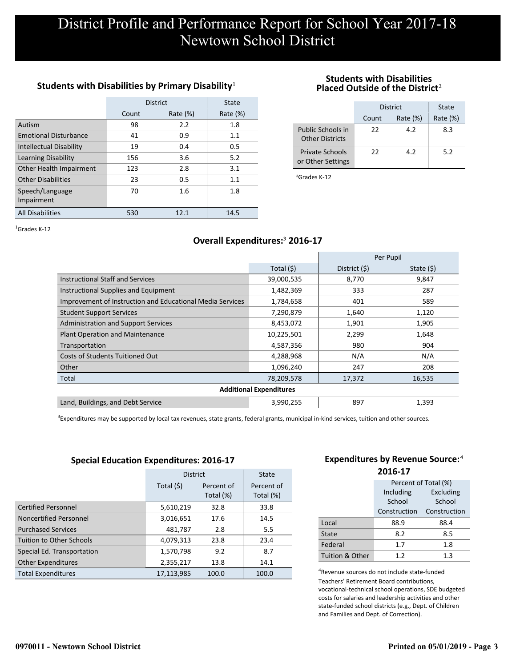#### Students with Disabilities by Primary Disability<sup>1</sup>

|                                | <b>District</b> | State       |             |
|--------------------------------|-----------------|-------------|-------------|
|                                | Count           | Rate $(\%)$ | Rate $(\%)$ |
| Autism                         | 98              | 2.2         | 1.8         |
| <b>Emotional Disturbance</b>   | 41              | 0.9         | 1.1         |
| <b>Intellectual Disability</b> | 19              | 0.4         | 0.5         |
| Learning Disability            | 156             | 3.6         | 5.2         |
| Other Health Impairment        | 123             | 2.8         | 3.1         |
| <b>Other Disabilities</b>      | 23              | 0.5         | 1.1         |
| Speech/Language<br>Impairment  | 70              | 1.6         | 1.8         |
| <b>All Disabilities</b>        | 530             | 12.1        | 14.5        |

#### **Students with Disabilities Placed Outside of the District**²

|                                             | District | State       |     |
|---------------------------------------------|----------|-------------|-----|
|                                             | Count    | Rate $(\%)$ |     |
| Public Schools in<br><b>Other Districts</b> | 22       | 4.2         | 8.3 |
| <b>Private Schools</b><br>or Other Settings | 22       | 49          | 5.2 |

²Grades K-12

 ${}^{1}$ Grades K-12

#### **Overall Expenditures:**³ **2016-17**

|                                                           |                                | Per Pupil     |             |
|-----------------------------------------------------------|--------------------------------|---------------|-------------|
|                                                           | Total (\$)                     | District (\$) | State $(5)$ |
| <b>Instructional Staff and Services</b>                   | 39,000,535                     | 8,770         | 9,847       |
| Instructional Supplies and Equipment                      | 1,482,369                      | 333           | 287         |
| Improvement of Instruction and Educational Media Services | 1,784,658                      | 401           | 589         |
| <b>Student Support Services</b>                           | 7,290,879                      | 1,640         | 1,120       |
| <b>Administration and Support Services</b>                | 8,453,072                      | 1,901         | 1,905       |
| <b>Plant Operation and Maintenance</b>                    | 10,225,501                     | 2,299         | 1,648       |
| Transportation                                            | 4,587,356                      | 980           | 904         |
| <b>Costs of Students Tuitioned Out</b>                    | 4,288,968                      | N/A           | N/A         |
| Other                                                     | 1,096,240                      | 247           | 208         |
| Total                                                     | 78,209,578                     | 17,372        | 16,535      |
|                                                           | <b>Additional Expenditures</b> |               |             |
| Land, Buildings, and Debt Service                         | 3,990,255                      | 897           | 1,393       |

<sup>3</sup>Expenditures may be supported by local tax revenues, state grants, federal grants, municipal in-kind services, tuition and other sources.

#### **Special Education Expenditures: 2016-17**

|                                 | <b>District</b> | State                   |                         |
|---------------------------------|-----------------|-------------------------|-------------------------|
|                                 | Total $(5)$     | Percent of<br>Total (%) | Percent of<br>Total (%) |
| <b>Certified Personnel</b>      | 5,610,219       | 32.8                    | 33.8                    |
| Noncertified Personnel          | 3,016,651       | 17.6                    | 14.5                    |
| <b>Purchased Services</b>       | 481,787         | 2.8                     | 5.5                     |
| <b>Tuition to Other Schools</b> | 4,079,313       | 23.8                    | 23.4                    |
| Special Ed. Transportation      | 1,570,798       | 9.2                     | 8.7                     |
| <b>Other Expenditures</b>       | 2,355,217       | 13.8                    | 14.1                    |
| <b>Total Expenditures</b>       | 17,113,985      | 100.0                   | 100.0                   |

#### **Expenditures by Revenue Source:**<sup>4</sup> **2016-17**

|                 | Percent of Total (%) |              |  |  |  |
|-----------------|----------------------|--------------|--|--|--|
|                 | Including            | Excluding    |  |  |  |
|                 | School               | School       |  |  |  |
|                 | Construction         | Construction |  |  |  |
| Local           | 88.9                 | 88.4         |  |  |  |
| State           | 8.2                  | 8.5          |  |  |  |
| Federal         | 1.7                  | 1.8          |  |  |  |
| Tuition & Other | 1.2                  | 1.3          |  |  |  |

<sup>4</sup>Revenue sources do not include state-funded Teachers' Retirement Board contributions, vocational-technical school operations, SDE budgeted costs for salaries and leadership activities and other state-funded school districts (e.g., Dept. of Children and Families and Dept. of Correction).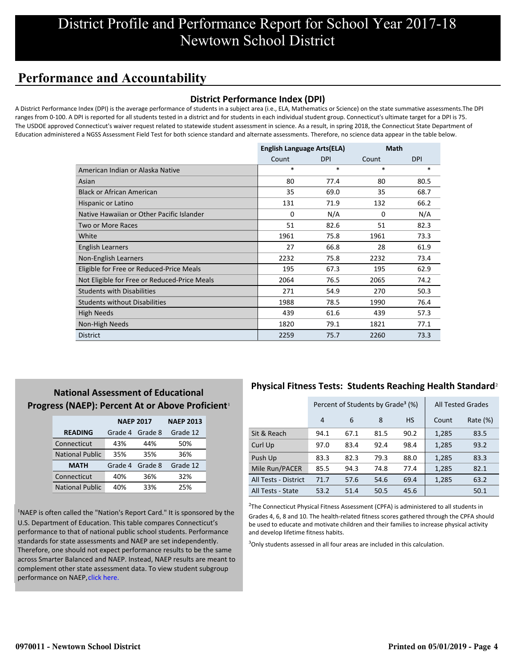## **Performance and Accountability**

#### **District Performance Index (DPI)**

A District Performance Index (DPI) is the average performance of students in a subject area (i.e., ELA, Mathematics or Science) on the state summative assessments.The DPI ranges from 0-100. A DPI is reported for all students tested in a district and for students in each individual student group. Connecticut's ultimate target for a DPI is 75. The USDOE approved Connecticut's waiver request related to statewide student assessment in science. As a result, in spring 2018, the Connecticut State Department of Education administered a NGSS Assessment Field Test for both science standard and alternate assessments. Therefore, no science data appear in the table below.

|                                              | <b>English Language Arts(ELA)</b> |            | <b>Math</b> |            |
|----------------------------------------------|-----------------------------------|------------|-------------|------------|
|                                              | Count                             | <b>DPI</b> | Count       | <b>DPI</b> |
| American Indian or Alaska Native             | $\ast$                            | $\ast$     | $\ast$      | *          |
| Asian                                        | 80                                | 77.4       | 80          | 80.5       |
| <b>Black or African American</b>             | 35                                | 69.0       | 35          | 68.7       |
| Hispanic or Latino                           | 131                               | 71.9       | 132         | 66.2       |
| Native Hawaiian or Other Pacific Islander    | $\Omega$                          | N/A        | $\Omega$    | N/A        |
| Two or More Races                            | 51                                | 82.6       | 51          | 82.3       |
| White                                        | 1961                              | 75.8       | 1961        | 73.3       |
| English Learners                             | 27                                | 66.8       | 28          | 61.9       |
| Non-English Learners                         | 2232                              | 75.8       | 2232        | 73.4       |
| Eligible for Free or Reduced-Price Meals     | 195                               | 67.3       | 195         | 62.9       |
| Not Eligible for Free or Reduced-Price Meals | 2064                              | 76.5       | 2065        | 74.2       |
| <b>Students with Disabilities</b>            | 271                               | 54.9       | 270         | 50.3       |
| <b>Students without Disabilities</b>         | 1988                              | 78.5       | 1990        | 76.4       |
| <b>High Needs</b>                            | 439                               | 61.6       | 439         | 57.3       |
| Non-High Needs                               | 1820                              | 79.1       | 1821        | 77.1       |
| <b>District</b>                              | 2259                              | 75.7       | 2260        | 73.3       |

#### **National Assessment of Educational** Progress (NAEP): Percent At or Above Proficient<sup>1</sup>

|                        | <b>NAEP 2017</b> | <b>NAEP 2013</b> |          |
|------------------------|------------------|------------------|----------|
| <b>READING</b>         | Grade 4          | Grade 8          | Grade 12 |
| Connecticut            | 43%              | 44%              | 50%      |
| <b>National Public</b> | 35%              | 35%              | 36%      |
| <b>MATH</b>            | Grade 4          | Grade 8          | Grade 12 |
| Connecticut            | 40%              | 36%              | 32%      |
| <b>National Public</b> | 40%              | 33%              | 25%      |

<sup>1</sup>NAEP is often called the "Nation's Report Card." It is sponsored by the U.S. Department of Education. This table compares Connecticut's performance to that of national public school students. Performance standards for state assessments and NAEP are set independently. Therefore, one should not expect performance results to be the same [across Smarter Balanced and NAEP. Instead, NAEP results are meant to](https://portal.ct.gov/-/media/SDE/Student-Assessment/NAEP/report-card_NAEP-2017.pdf?la=en) complement other state assessment data. To view student subgroup performance on NAEP, click here.

#### **Physical Fitness Tests: Students Reaching Health Standard**²

|                      | Percent of Students by Grade <sup>3</sup> (%) |      |      |           |       | <b>All Tested Grades</b> |
|----------------------|-----------------------------------------------|------|------|-----------|-------|--------------------------|
|                      | 4                                             | 6    | 8    | <b>HS</b> | Count | Rate $(\%)$              |
| Sit & Reach          | 94.1                                          | 67.1 | 81.5 | 90.2      | 1,285 | 83.5                     |
| Curl Up              | 97.0                                          | 83.4 | 92.4 | 98.4      | 1,285 | 93.2                     |
| Push Up              | 83.3                                          | 82.3 | 79.3 | 88.0      | 1,285 | 83.3                     |
| Mile Run/PACER       | 85.5                                          | 94.3 | 74.8 | 77.4      | 1,285 | 82.1                     |
| All Tests - District | 71.7                                          | 57.6 | 54.6 | 69.4      | 1,285 | 63.2                     |
| All Tests - State    | 53.2                                          | 51.4 | 50.5 | 45.6      |       | 50.1                     |

 $2$ The Connecticut Physical Fitness Assessment (CPFA) is administered to all students in Grades 4, 6, 8 and 10. The health-related fitness scores gathered through the CPFA should be used to educate and motivate children and their families to increase physical activity and develop lifetime fitness habits.

<sup>3</sup>Only students assessed in all four areas are included in this calculation.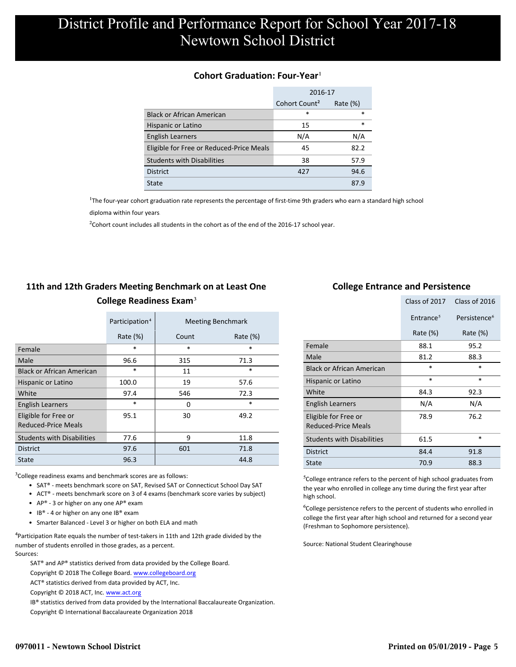#### **Cohort Graduation: Four-Year**<sup>1</sup>

|                                          | 2016-17                   |             |  |
|------------------------------------------|---------------------------|-------------|--|
|                                          | Cohort Count <sup>2</sup> | Rate $(\%)$ |  |
| <b>Black or African American</b>         | *                         | $\ast$      |  |
| Hispanic or Latino                       | 15                        | $\ast$      |  |
| <b>English Learners</b>                  | N/A                       | N/A         |  |
| Eligible for Free or Reduced-Price Meals | 45                        | 82.2        |  |
| <b>Students with Disabilities</b>        | 38                        | 57.9        |  |
| <b>District</b>                          | 427                       | 94.6        |  |
| State                                    |                           | 87.9        |  |

<sup>1</sup>The four-year cohort graduation rate represents the percentage of first-time 9th graders who earn a standard high school

[diploma within four years.](http://www.sde.ct.gov/sde/cwp/view.asp?a=2758&q=334898)

 $2$ Cohort count includes all students in the cohort as of the end of the 2016-17 school year.

### **11th and 12th Graders Meeting Benchmark on at Least One College Readiness Exam**³

|                                             | Participation <sup>4</sup> |       | <b>Meeting Benchmark</b> |
|---------------------------------------------|----------------------------|-------|--------------------------|
|                                             | Rate $(\%)$                | Count | Rate $(\%)$              |
| Female                                      | $\ast$                     | *     | $\ast$                   |
| Male                                        | 96.6                       | 315   | 71.3                     |
| <b>Black or African American</b>            | $\ast$                     | 11    | $\ast$                   |
| Hispanic or Latino                          | 100.0                      | 19    | 57.6                     |
| White                                       | 97.4                       | 546   | 72.3                     |
| <b>English Learners</b>                     | $\ast$                     | 0     | $\ast$                   |
| Eligible for Free or<br>Reduced-Price Meals | 95.1                       | 30    | 49.2                     |
| <b>Students with Disabilities</b>           | 77.6                       | 9     | 11.8                     |
| <b>District</b>                             | 97.6                       | 601   | 71.8                     |
| State                                       | 96.3                       |       | 44.8                     |

 $3$ College readiness exams and benchmark scores are as follows:

- SAT® meets benchmark score on SAT, Revised SAT or Connecticut School Day SAT
- ACT® meets benchmark score on 3 of 4 exams (benchmark score varies by subject)
- AP® 3 or higher on any one  $AP^®$  exam
- IB® 4 or higher on any one IB® exam
- Smarter Balanced Level 3 or higher on both ELA and math

 $4$ Participation Rate equals the number of test-takers in 11th and 12th grade divided by the number of students enrolled in those grades, as a percent. Sources:

SAT® and AP® statistics derived from data provided by the College Board.

Copyright © 2018 The College Board. www.collegeboard.org

ACT® statistics derived from data provided by ACT, Inc.

Copyright © 2018 ACT, Inc. www.act.org

IB® statistics derived from data provided by the International Baccalaureate Organization.

Copyright © International Baccalaureate Organization 2018

#### **College Entrance and Persistence**

|                                                    | Class of 2017         | Class of 2016            |
|----------------------------------------------------|-----------------------|--------------------------|
|                                                    | Entrance <sup>5</sup> | Persistence <sup>6</sup> |
|                                                    | Rate $(\%)$           | Rate $(\%)$              |
| Female                                             | 88.1                  | 95.2                     |
| Male                                               | 81.2                  | 88.3                     |
| <b>Black or African American</b>                   | $\ast$                | $\ast$                   |
| Hispanic or Latino                                 | *                     | $\ast$                   |
| White                                              | 84.3                  | 92.3                     |
| <b>English Learners</b>                            | N/A                   | N/A                      |
| Eligible for Free or<br><b>Reduced-Price Meals</b> | 78.9                  | 76.2                     |
| <b>Students with Disabilities</b>                  | 61.5                  | *                        |
| <b>District</b>                                    | 84.4                  | 91.8                     |
| State                                              | 70.9                  | 88.3                     |

⁵College entrance refers to the percent of high school graduates from the year who enrolled in college any time during the first year after high school.

⁶College persistence refers to the percent of students who enrolled in college the first year after high school and returned for a second year (Freshman to Sophomore persistence).

Source: National Student Clearinghouse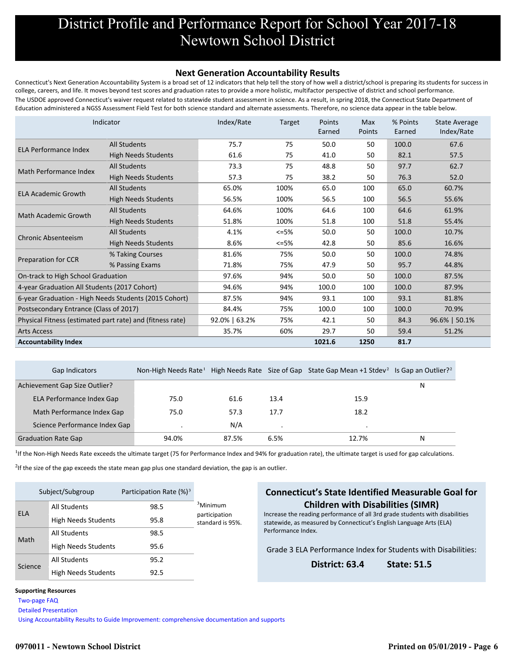#### **Next Generation Accountability Results**

Connecticut's Next Generation Accountability System is a broad set of 12 indicators that help tell the story of how well a district/school is preparing its students for success in college, careers, and life. It moves beyond test scores and graduation rates to provide a more holistic, multifactor perspective of district and school performance. The USDOE approved Connecticut's waiver request related to statewide student assessment in science. As a result, in spring 2018, the Connecticut State Department of Education administered a NGSS Assessment Field Test for both science standard and alternate assessments. Therefore, no science data appear in the table below.

|                                                           | Indicator                                             | Index/Rate    | Target  | Points<br>Earned | Max<br>Points | % Points<br>Earned | <b>State Average</b><br>Index/Rate |
|-----------------------------------------------------------|-------------------------------------------------------|---------------|---------|------------------|---------------|--------------------|------------------------------------|
| <b>ELA Performance Index</b>                              | <b>All Students</b>                                   | 75.7          | 75      | 50.0             | 50            | 100.0              | 67.6                               |
|                                                           | <b>High Needs Students</b>                            | 61.6          | 75      | 41.0             | 50            | 82.1               | 57.5                               |
| Math Performance Index                                    | <b>All Students</b>                                   | 73.3          | 75      | 48.8             | 50            | 97.7               | 62.7                               |
|                                                           | <b>High Needs Students</b>                            | 57.3          | 75      | 38.2             | 50            | 76.3               | 52.0                               |
| <b>ELA Academic Growth</b>                                | <b>All Students</b>                                   | 65.0%         | 100%    | 65.0             | 100           | 65.0               | 60.7%                              |
|                                                           | <b>High Needs Students</b>                            | 56.5%         | 100%    | 56.5             | 100           | 56.5               | 55.6%                              |
|                                                           | <b>All Students</b>                                   | 64.6%         | 100%    | 64.6             | 100           | 64.6               | 61.9%                              |
| <b>Math Academic Growth</b>                               | <b>High Needs Students</b>                            | 51.8%         | 100%    | 51.8             | 100           | 51.8               | 55.4%                              |
|                                                           | <b>All Students</b>                                   | 4.1%          | $<=5%$  | 50.0             | 50            | 100.0              | 10.7%                              |
| <b>Chronic Absenteeism</b>                                | <b>High Needs Students</b>                            | 8.6%          | $<=5\%$ | 42.8             | 50            | 85.6               | 16.6%                              |
|                                                           | % Taking Courses                                      | 81.6%         | 75%     | 50.0             | 50            | 100.0              | 74.8%                              |
| <b>Preparation for CCR</b>                                | % Passing Exams                                       | 71.8%         | 75%     | 47.9             | 50            | 95.7               | 44.8%                              |
| On-track to High School Graduation                        |                                                       | 97.6%         | 94%     | 50.0             | 50            | 100.0              | 87.5%                              |
| 4-year Graduation All Students (2017 Cohort)              |                                                       | 94.6%         | 94%     | 100.0            | 100           | 100.0              | 87.9%                              |
|                                                           | 6-year Graduation - High Needs Students (2015 Cohort) | 87.5%         | 94%     | 93.1             | 100           | 93.1               | 81.8%                              |
| Postsecondary Entrance (Class of 2017)                    |                                                       | 84.4%         | 75%     | 100.0            | 100           | 100.0              | 70.9%                              |
| Physical Fitness (estimated part rate) and (fitness rate) |                                                       | 92.0%   63.2% | 75%     | 42.1             | 50            | 84.3               | 96.6%   50.1%                      |
| <b>Arts Access</b>                                        |                                                       | 35.7%         | 60%     | 29.7             | 50            | 59.4               | 51.2%                              |
| <b>Accountability Index</b>                               |                                                       |               |         | 1021.6           | 1250          | 81.7               |                                    |

| Gap Indicators                | Non-High Needs Rate <sup>1</sup> |       |      | High Needs Rate Size of Gap State Gap Mean +1 Stdev <sup>2</sup> Is Gap an Outlier? <sup>2</sup> |   |
|-------------------------------|----------------------------------|-------|------|--------------------------------------------------------------------------------------------------|---|
| Achievement Gap Size Outlier? |                                  |       |      |                                                                                                  | N |
| ELA Performance Index Gap     | 75.0                             | 61.6  | 13.4 | 15.9                                                                                             |   |
| Math Performance Index Gap    | 75.0                             | 57.3  | 17.7 | 18.2                                                                                             |   |
| Science Performance Index Gap |                                  | N/A   |      |                                                                                                  |   |
| <b>Graduation Rate Gap</b>    | 94.0%                            | 87.5% | 6.5% | 12.7%                                                                                            | N |

<sup>1</sup>If the Non-High Needs Rate exceeds the ultimate target (75 for Performance Index and 94% for graduation rate), the ultimate target is used for gap calculations.

 $2$ If the size of the gap exceeds the state mean gap plus one standard deviation, the gap is an outlier.

|            | Subject/Subgroup           | Participation Rate $(\%)^3$ |                                   |
|------------|----------------------------|-----------------------------|-----------------------------------|
| <b>ELA</b> | <b>All Students</b>        | 98.5                        | <sup>3</sup> Minimum              |
|            | <b>High Needs Students</b> | 95.8                        | participation<br>standard is 95%. |
| Math       | <b>All Students</b>        | 98.5                        |                                   |
|            | <b>High Needs Students</b> | 95.6                        |                                   |
| Science    | <b>All Students</b>        | 95.2                        |                                   |
|            | <b>High Needs Students</b> | 92.5                        |                                   |

#### **Connecticut's State Identified Measurable Goal for Children with Disabilities (SIMR)**

Increase the reading performance of all 3rd grade students with disabilities statewide, as measured by Connecticut's English Language Arts (ELA) Performance Index.

Grade 3 ELA Performance Index for Students with Disabilities:

**District: 63.4 State: 51.5**

#### **Supporting Resources**

 [Two-page FAQ](http://edsight.ct.gov/relatedreports/nextgenFAQ_revisedDec2018.pdf) 

 [Detailed Presentation](http://edsight.ct.gov/relatedreports/Next%20Generation%20Accountability%20System_Detailed%20Presentation_Jan_2019_FINAL.pdf) 

 [Using Accountability Results to Guide Improvement: comprehensive documentation and supports](http://edsight.ct.gov/relatedreports/Using_Accountability_Results_to_Guide_Improvement.pdf)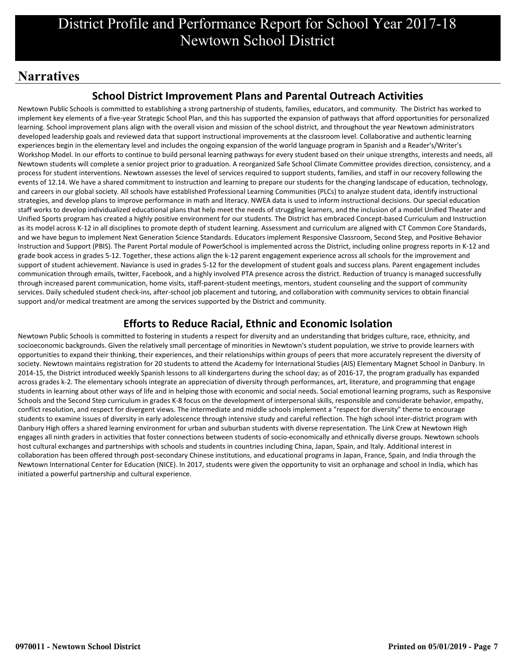## **Narratives**

### **School District Improvement Plans and Parental Outreach Activities**

Newtown Public Schools is committed to establishing a strong partnership of students, families, educators, and community. The District has worked to implement key elements of a five-year Strategic School Plan, and this has supported the expansion of pathways that afford opportunities for personalized learning. School improvement plans align with the overall vision and mission of the school district, and throughout the year Newtown administrators developed leadership goals and reviewed data that support instructional improvements at the classroom level. Collaborative and authentic learning experiences begin in the elementary level and includes the ongoing expansion of the world language program in Spanish and a Reader's/Writer's Workshop Model. In our efforts to continue to build personal learning pathways for every student based on their unique strengths, interests and needs, all Newtown students will complete a senior project prior to graduation. A reorganized Safe School Climate Committee provides direction, consistency, and a process for student interventions. Newtown assesses the level of services required to support students, families, and staff in our recovery following the events of 12.14. We have a shared commitment to instruction and learning to prepare our students for the changing landscape of education, technology, and careers in our global society. All schools have established Professional Learning Communities (PLCs) to analyze student data, identify instructional strategies, and develop plans to improve performance in math and literacy. NWEA data is used to inform instructional decisions. Our special education staff works to develop individualized educational plans that help meet the needs of struggling learners, and the inclusion of a model Unified Theater and Unified Sports program has created a highly positive environment for our students. The District has embraced Concept-based Curriculum and Instruction as its model across K-12 in all disciplines to promote depth of student learning. Assessment and curriculum are aligned with CT Common Core Standards, and we have begun to implement Next Generation Science Standards. Educators implement Responsive Classroom, Second Step, and Positive Behavior Instruction and Support (PBIS). The Parent Portal module of PowerSchool is implemented across the District, including online progress reports in K-12 and grade book access in grades 5-12. Together, these actions align the k-12 parent engagement experience across all schools for the improvement and support of student achievement. Naviance is used in grades 5-12 for the development of student goals and success plans. Parent engagement includes communication through emails, twitter, Facebook, and a highly involved PTA presence across the district. Reduction of truancy is managed successfully through increased parent communication, home visits, staff-parent-student meetings, mentors, student counseling and the support of community services. Daily scheduled student check-ins, after-school job placement and tutoring, and collaboration with community services to obtain financial support and/or medical treatment are among the services supported by the District and community.

## **Efforts to Reduce Racial, Ethnic and Economic Isolation**

Newtown Public Schools is committed to fostering in students a respect for diversity and an understanding that bridges culture, race, ethnicity, and socioeconomic backgrounds. Given the relatively small percentage of minorities in Newtown's student population, we strive to provide learners with opportunities to expand their thinking, their experiences, and their relationships within groups of peers that more accurately represent the diversity of society. Newtown maintains registration for 20 students to attend the Academy for International Studies (AIS) Elementary Magnet School in Danbury. In 2014-15, the District introduced weekly Spanish lessons to all kindergartens during the school day; as of 2016-17, the program gradually has expanded across grades k-2. The elementary schools integrate an appreciation of diversity through performances, art, literature, and programming that engage students in learning about other ways of life and in helping those with economic and social needs. Social emotional learning programs, such as Responsive Schools and the Second Step curriculum in grades K-8 focus on the development of interpersonal skills, responsible and considerate behavior, empathy, conflict resolution, and respect for divergent views. The intermediate and middle schools implement a "respect for diversity" theme to encourage students to examine issues of diversity in early adolescence through intensive study and careful reflection. The high school inter-district program with Danbury High offers a shared learning environment for urban and suburban students with diverse representation. The Link Crew at Newtown High engages all ninth graders in activities that foster connections between students of socio-economically and ethnically diverse groups. Newtown schools host cultural exchanges and partnerships with schools and students in countries including China, Japan, Spain, and Italy. Additional interest in collaboration has been offered through post-secondary Chinese institutions, and educational programs in Japan, France, Spain, and India through the Newtown International Center for Education (NICE). In 2017, students were given the opportunity to visit an orphanage and school in India, which has initiated a powerful partnership and cultural experience.